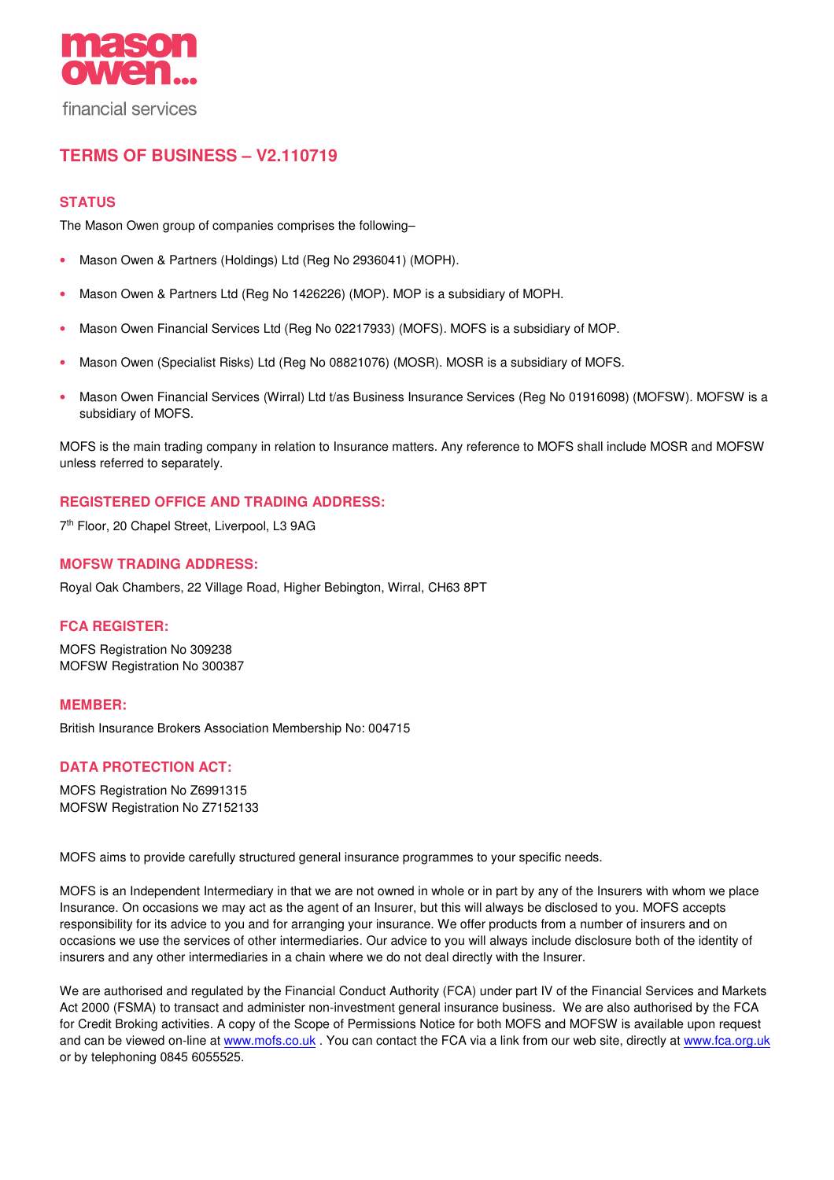

# **TERMS OF BUSINESS – V2.110719**

# **STATUS**

The Mason Owen group of companies comprises the following–

- Mason Owen & Partners (Holdings) Ltd (Reg No 2936041) (MOPH).
- Mason Owen & Partners Ltd (Reg No 1426226) (MOP). MOP is a subsidiary of MOPH.
- Mason Owen Financial Services Ltd (Reg No 02217933) (MOFS). MOFS is a subsidiary of MOP.
- Mason Owen (Specialist Risks) Ltd (Reg No 08821076) (MOSR). MOSR is a subsidiary of MOFS.
- Mason Owen Financial Services (Wirral) Ltd t/as Business Insurance Services (Reg No 01916098) (MOFSW). MOFSW is a subsidiary of MOFS.

MOFS is the main trading company in relation to Insurance matters. Any reference to MOFS shall include MOSR and MOFSW unless referred to separately.

# **REGISTERED OFFICE AND TRADING ADDRESS:**

7<sup>th</sup> Floor, 20 Chapel Street, Liverpool, L3 9AG

### **MOFSW TRADING ADDRESS:**

Royal Oak Chambers, 22 Village Road, Higher Bebington, Wirral, CH63 8PT

# **FCA REGISTER:**

MOFS Registration No 309238 MOFSW Registration No 300387

### **MEMBER:**

British Insurance Brokers Association Membership No: 004715

# **DATA PROTECTION ACT:**

MOFS Registration No Z6991315 MOFSW Registration No Z7152133

MOFS aims to provide carefully structured general insurance programmes to your specific needs.

MOFS is an Independent Intermediary in that we are not owned in whole or in part by any of the Insurers with whom we place Insurance. On occasions we may act as the agent of an Insurer, but this will always be disclosed to you. MOFS accepts responsibility for its advice to you and for arranging your insurance. We offer products from a number of insurers and on occasions we use the services of other intermediaries. Our advice to you will always include disclosure both of the identity of insurers and any other intermediaries in a chain where we do not deal directly with the Insurer.

We are authorised and regulated by the Financial Conduct Authority (FCA) under part IV of the Financial Services and Markets Act 2000 (FSMA) to transact and administer non-investment general insurance business. We are also authorised by the FCA for Credit Broking activities. A copy of the Scope of Permissions Notice for both MOFS and MOFSW is available upon request and can be viewed on-line at www.mofs.co.uk . You can contact the FCA via a link from our web site, directly at www.fca.org.uk or by telephoning 0845 6055525.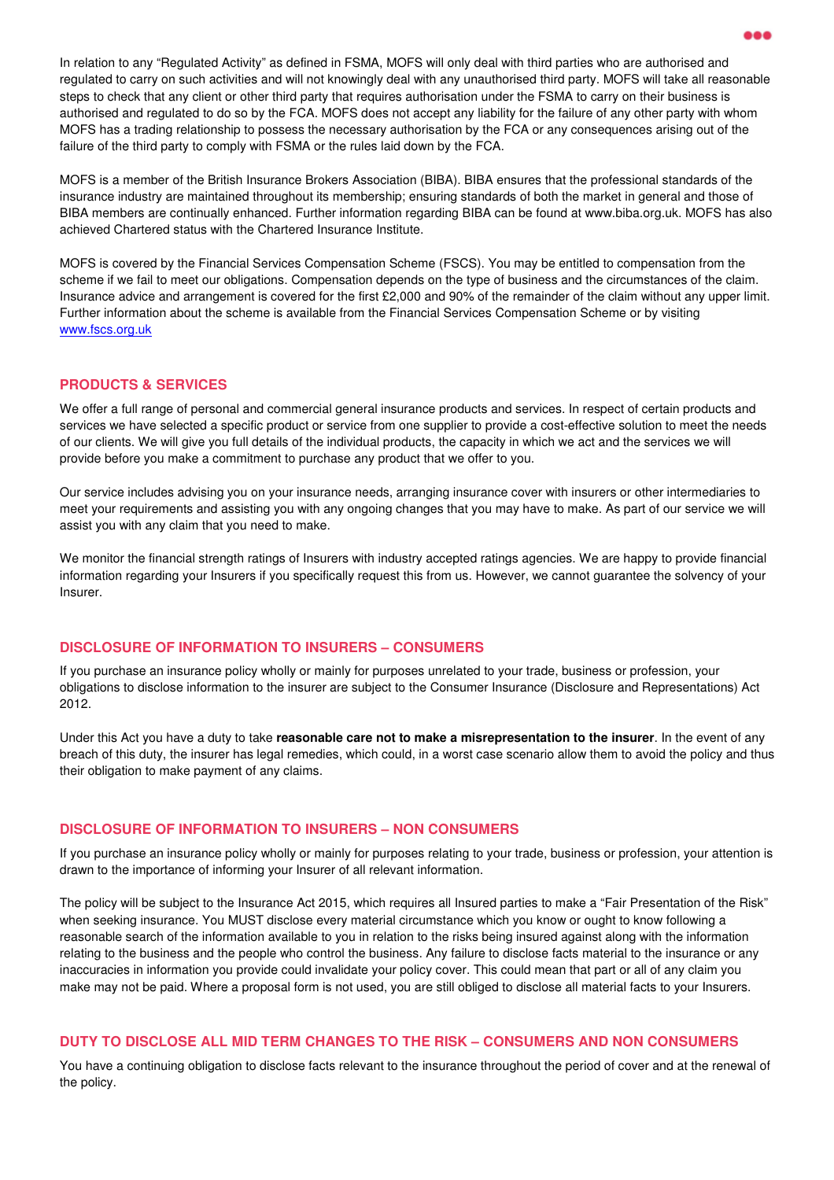In relation to any "Regulated Activity" as defined in FSMA, MOFS will only deal with third parties who are authorised and regulated to carry on such activities and will not knowingly deal with any unauthorised third party. MOFS will take all reasonable steps to check that any client or other third party that requires authorisation under the FSMA to carry on their business is authorised and regulated to do so by the FCA. MOFS does not accept any liability for the failure of any other party with whom MOFS has a trading relationship to possess the necessary authorisation by the FCA or any consequences arising out of the failure of the third party to comply with FSMA or the rules laid down by the FCA.

MOFS is a member of the British Insurance Brokers Association (BIBA). BIBA ensures that the professional standards of the insurance industry are maintained throughout its membership; ensuring standards of both the market in general and those of BIBA members are continually enhanced. Further information regarding BIBA can be found at www.biba.org.uk. MOFS has also achieved Chartered status with the Chartered Insurance Institute.

MOFS is covered by the Financial Services Compensation Scheme (FSCS). You may be entitled to compensation from the scheme if we fail to meet our obligations. Compensation depends on the type of business and the circumstances of the claim. Insurance advice and arrangement is covered for the first £2,000 and 90% of the remainder of the claim without any upper limit. Further information about the scheme is available from the Financial Services Compensation Scheme or by visiting www.fscs.org.uk

### **PRODUCTS & SERVICES**

We offer a full range of personal and commercial general insurance products and services. In respect of certain products and services we have selected a specific product or service from one supplier to provide a cost-effective solution to meet the needs of our clients. We will give you full details of the individual products, the capacity in which we act and the services we will provide before you make a commitment to purchase any product that we offer to you.

Our service includes advising you on your insurance needs, arranging insurance cover with insurers or other intermediaries to meet your requirements and assisting you with any ongoing changes that you may have to make. As part of our service we will assist you with any claim that you need to make.

We monitor the financial strength ratings of Insurers with industry accepted ratings agencies. We are happy to provide financial information regarding your Insurers if you specifically request this from us. However, we cannot guarantee the solvency of your Insurer.

### **DISCLOSURE OF INFORMATION TO INSURERS – CONSUMERS**

If you purchase an insurance policy wholly or mainly for purposes unrelated to your trade, business or profession, your obligations to disclose information to the insurer are subject to the Consumer Insurance (Disclosure and Representations) Act 2012.

Under this Act you have a duty to take **reasonable care not to make a misrepresentation to the insurer**. In the event of any breach of this duty, the insurer has legal remedies, which could, in a worst case scenario allow them to avoid the policy and thus their obligation to make payment of any claims.

### **DISCLOSURE OF INFORMATION TO INSURERS – NON CONSUMERS**

If you purchase an insurance policy wholly or mainly for purposes relating to your trade, business or profession, your attention is drawn to the importance of informing your Insurer of all relevant information.

The policy will be subject to the Insurance Act 2015, which requires all Insured parties to make a "Fair Presentation of the Risk" when seeking insurance. You MUST disclose every material circumstance which you know or ought to know following a reasonable search of the information available to you in relation to the risks being insured against along with the information relating to the business and the people who control the business. Any failure to disclose facts material to the insurance or any inaccuracies in information you provide could invalidate your policy cover. This could mean that part or all of any claim you make may not be paid. Where a proposal form is not used, you are still obliged to disclose all material facts to your Insurers.

### **DUTY TO DISCLOSE ALL MID TERM CHANGES TO THE RISK – CONSUMERS AND NON CONSUMERS**

You have a continuing obligation to disclose facts relevant to the insurance throughout the period of cover and at the renewal of the policy.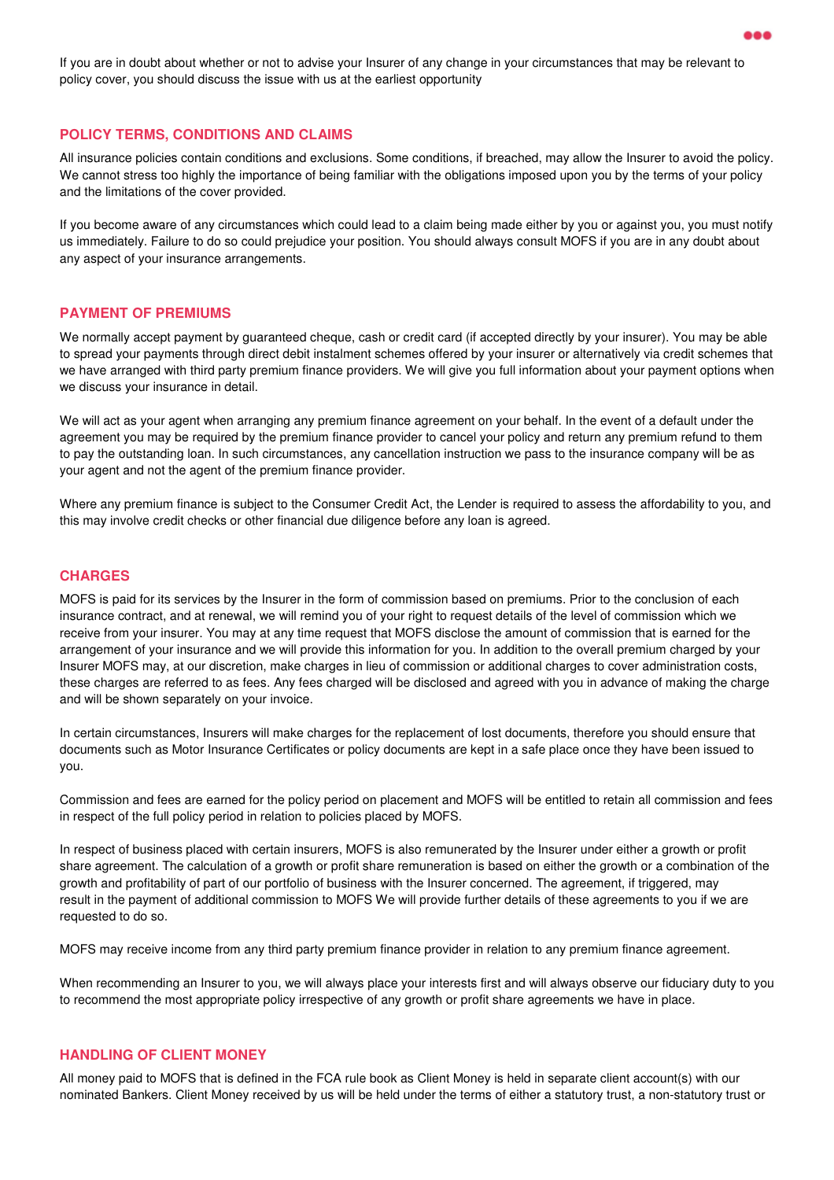If you are in doubt about whether or not to advise your Insurer of any change in your circumstances that may be relevant to policy cover, you should discuss the issue with us at the earliest opportunity

#### **POLICY TERMS, CONDITIONS AND CLAIMS**

All insurance policies contain conditions and exclusions. Some conditions, if breached, may allow the Insurer to avoid the policy. We cannot stress too highly the importance of being familiar with the obligations imposed upon you by the terms of your policy and the limitations of the cover provided.

If you become aware of any circumstances which could lead to a claim being made either by you or against you, you must notify us immediately. Failure to do so could prejudice your position. You should always consult MOFS if you are in any doubt about any aspect of your insurance arrangements.

#### **PAYMENT OF PREMIUMS**

We normally accept payment by guaranteed cheque, cash or credit card (if accepted directly by your insurer). You may be able to spread your payments through direct debit instalment schemes offered by your insurer or alternatively via credit schemes that we have arranged with third party premium finance providers. We will give you full information about your payment options when we discuss your insurance in detail.

We will act as your agent when arranging any premium finance agreement on your behalf. In the event of a default under the agreement you may be required by the premium finance provider to cancel your policy and return any premium refund to them to pay the outstanding loan. In such circumstances, any cancellation instruction we pass to the insurance company will be as your agent and not the agent of the premium finance provider.

Where any premium finance is subject to the Consumer Credit Act, the Lender is required to assess the affordability to you, and this may involve credit checks or other financial due diligence before any loan is agreed.

### **CHARGES**

MOFS is paid for its services by the Insurer in the form of commission based on premiums. Prior to the conclusion of each insurance contract, and at renewal, we will remind you of your right to request details of the level of commission which we receive from your insurer. You may at any time request that MOFS disclose the amount of commission that is earned for the arrangement of your insurance and we will provide this information for you. In addition to the overall premium charged by your Insurer MOFS may, at our discretion, make charges in lieu of commission or additional charges to cover administration costs, these charges are referred to as fees. Any fees charged will be disclosed and agreed with you in advance of making the charge and will be shown separately on your invoice.

In certain circumstances, Insurers will make charges for the replacement of lost documents, therefore you should ensure that documents such as Motor Insurance Certificates or policy documents are kept in a safe place once they have been issued to you.

Commission and fees are earned for the policy period on placement and MOFS will be entitled to retain all commission and fees in respect of the full policy period in relation to policies placed by MOFS.

In respect of business placed with certain insurers, MOFS is also remunerated by the Insurer under either a growth or profit share agreement. The calculation of a growth or profit share remuneration is based on either the growth or a combination of the growth and profitability of part of our portfolio of business with the Insurer concerned. The agreement, if triggered, may result in the payment of additional commission to MOFS We will provide further details of these agreements to you if we are requested to do so.

MOFS may receive income from any third party premium finance provider in relation to any premium finance agreement.

When recommending an Insurer to you, we will always place your interests first and will always observe our fiduciary duty to you to recommend the most appropriate policy irrespective of any growth or profit share agreements we have in place.

### **HANDLING OF CLIENT MONEY**

All money paid to MOFS that is defined in the FCA rule book as Client Money is held in separate client account(s) with our nominated Bankers. Client Money received by us will be held under the terms of either a statutory trust, a non-statutory trust or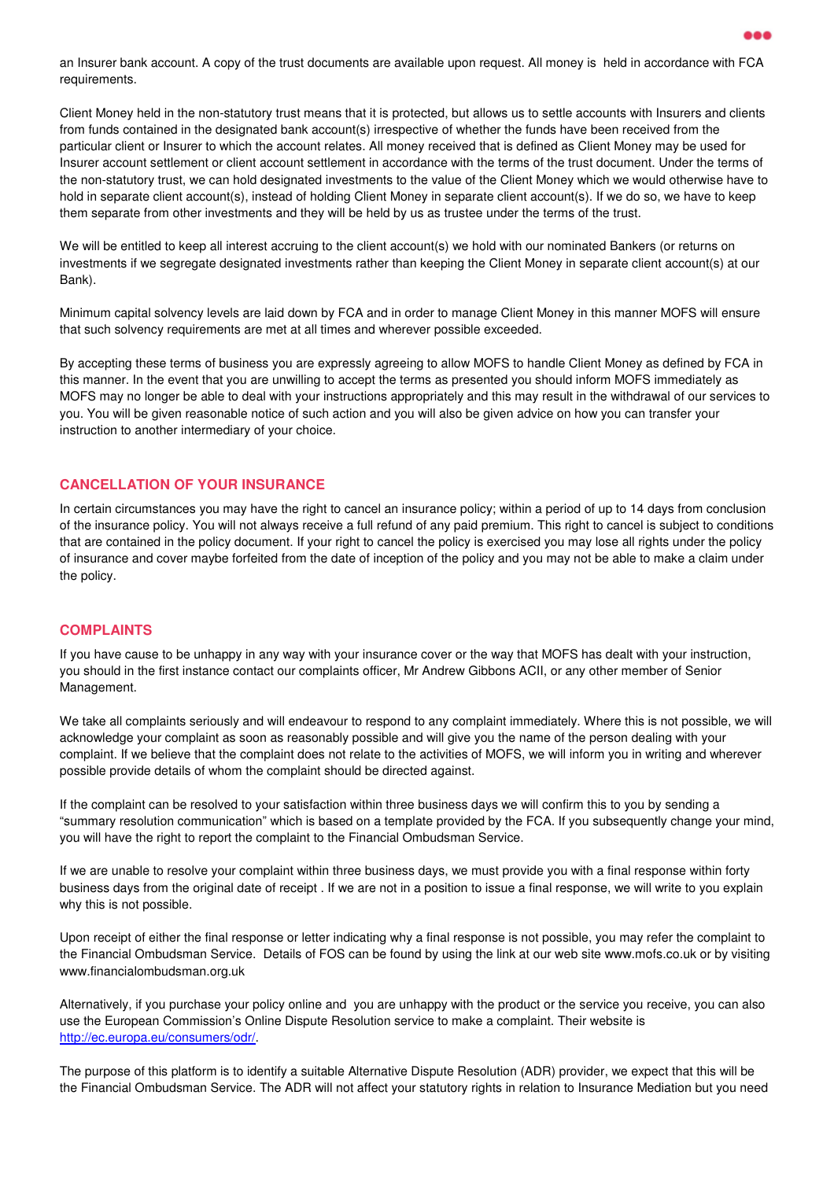an Insurer bank account. A copy of the trust documents are available upon request. All money is held in accordance with FCA requirements.

Client Money held in the non-statutory trust means that it is protected, but allows us to settle accounts with Insurers and clients from funds contained in the designated bank account(s) irrespective of whether the funds have been received from the particular client or Insurer to which the account relates. All money received that is defined as Client Money may be used for Insurer account settlement or client account settlement in accordance with the terms of the trust document. Under the terms of the non-statutory trust, we can hold designated investments to the value of the Client Money which we would otherwise have to hold in separate client account(s), instead of holding Client Money in separate client account(s). If we do so, we have to keep them separate from other investments and they will be held by us as trustee under the terms of the trust.

We will be entitled to keep all interest accruing to the client account(s) we hold with our nominated Bankers (or returns on investments if we segregate designated investments rather than keeping the Client Money in separate client account(s) at our Bank).

Minimum capital solvency levels are laid down by FCA and in order to manage Client Money in this manner MOFS will ensure that such solvency requirements are met at all times and wherever possible exceeded.

By accepting these terms of business you are expressly agreeing to allow MOFS to handle Client Money as defined by FCA in this manner. In the event that you are unwilling to accept the terms as presented you should inform MOFS immediately as MOFS may no longer be able to deal with your instructions appropriately and this may result in the withdrawal of our services to you. You will be given reasonable notice of such action and you will also be given advice on how you can transfer your instruction to another intermediary of your choice.

### **CANCELLATION OF YOUR INSURANCE**

In certain circumstances you may have the right to cancel an insurance policy; within a period of up to 14 days from conclusion of the insurance policy. You will not always receive a full refund of any paid premium. This right to cancel is subject to conditions that are contained in the policy document. If your right to cancel the policy is exercised you may lose all rights under the policy of insurance and cover maybe forfeited from the date of inception of the policy and you may not be able to make a claim under the policy.

# **COMPLAINTS**

If you have cause to be unhappy in any way with your insurance cover or the way that MOFS has dealt with your instruction, you should in the first instance contact our complaints officer, Mr Andrew Gibbons ACII, or any other member of Senior Management.

We take all complaints seriously and will endeavour to respond to any complaint immediately. Where this is not possible, we will acknowledge your complaint as soon as reasonably possible and will give you the name of the person dealing with your complaint. If we believe that the complaint does not relate to the activities of MOFS, we will inform you in writing and wherever possible provide details of whom the complaint should be directed against.

If the complaint can be resolved to your satisfaction within three business days we will confirm this to you by sending a "summary resolution communication" which is based on a template provided by the FCA. If you subsequently change your mind, you will have the right to report the complaint to the Financial Ombudsman Service.

If we are unable to resolve your complaint within three business days, we must provide you with a final response within forty business days from the original date of receipt . If we are not in a position to issue a final response, we will write to you explain why this is not possible.

Upon receipt of either the final response or letter indicating why a final response is not possible, you may refer the complaint to the Financial Ombudsman Service. Details of FOS can be found by using the link at our web site www.mofs.co.uk or by visiting www.financialombudsman.org.uk

Alternatively, if you purchase your policy online and you are unhappy with the product or the service you receive, you can also use the European Commission's Online Dispute Resolution service to make a complaint. Their website is http://ec.europa.eu/consumers/odr/.

The purpose of this platform is to identify a suitable Alternative Dispute Resolution (ADR) provider, we expect that this will be the Financial Ombudsman Service. The ADR will not affect your statutory rights in relation to Insurance Mediation but you need